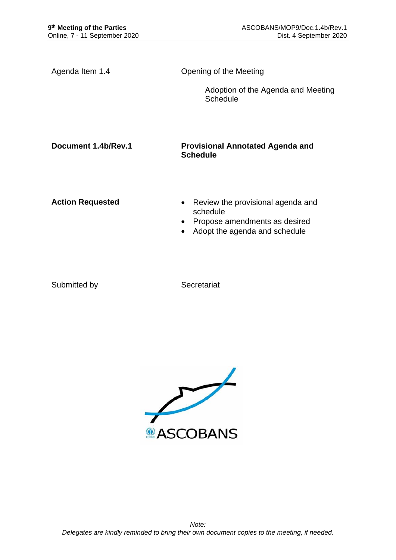| Agenda Item 1.4         | Opening of the Meeting                                                                                                                    |
|-------------------------|-------------------------------------------------------------------------------------------------------------------------------------------|
|                         | Adoption of the Agenda and Meeting<br>Schedule                                                                                            |
| Document 1.4b/Rev.1     | <b>Provisional Annotated Agenda and</b><br><b>Schedule</b>                                                                                |
| <b>Action Requested</b> | Review the provisional agenda and<br>schedule<br>Propose amendments as desired<br>$\bullet$<br>Adopt the agenda and schedule<br>$\bullet$ |

Submitted by Secretariat

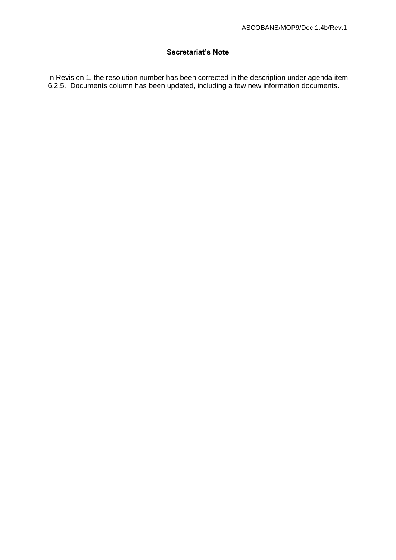## **Secretariat's Note**

In Revision 1, the resolution number has been corrected in the description under agenda item 6.2.5. Documents column has been updated, including a few new information documents.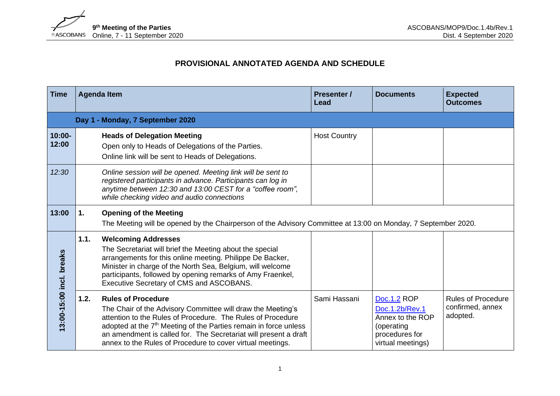

## **PROVISIONAL ANNOTATED AGENDA AND SCHEDULE**

| <b>Time</b>              |      | <b>Agenda Item</b>                                                                                                                                                                                                                                                                                                                                                        | <b>Presenter /</b><br>Lead | <b>Documents</b>                                                                                       | <b>Expected</b><br><b>Outcomes</b>                        |
|--------------------------|------|---------------------------------------------------------------------------------------------------------------------------------------------------------------------------------------------------------------------------------------------------------------------------------------------------------------------------------------------------------------------------|----------------------------|--------------------------------------------------------------------------------------------------------|-----------------------------------------------------------|
|                          |      | Day 1 - Monday, 7 September 2020                                                                                                                                                                                                                                                                                                                                          |                            |                                                                                                        |                                                           |
| $10:00 -$<br>12:00       |      | <b>Heads of Delegation Meeting</b><br>Open only to Heads of Delegations of the Parties.<br>Online link will be sent to Heads of Delegations.                                                                                                                                                                                                                              | <b>Host Country</b>        |                                                                                                        |                                                           |
| 12:30                    |      | Online session will be opened. Meeting link will be sent to<br>registered participants in advance. Participants can log in<br>anytime between 12:30 and 13:00 CEST for a "coffee room",<br>while checking video and audio connections                                                                                                                                     |                            |                                                                                                        |                                                           |
| 13:00                    | 1.   | <b>Opening of the Meeting</b><br>The Meeting will be opened by the Chairperson of the Advisory Committee at 13:00 on Monday, 7 September 2020.                                                                                                                                                                                                                            |                            |                                                                                                        |                                                           |
| 13:00-15:00 incl. breaks | 1.1. | <b>Welcoming Addresses</b><br>The Secretariat will brief the Meeting about the special<br>arrangements for this online meeting. Philippe De Backer,<br>Minister in charge of the North Sea, Belgium, will welcome<br>participants, followed by opening remarks of Amy Fraenkel,<br>Executive Secretary of CMS and ASCOBANS.                                               |                            |                                                                                                        |                                                           |
|                          | 1.2. | <b>Rules of Procedure</b><br>The Chair of the Advisory Committee will draw the Meeting's<br>attention to the Rules of Procedure. The Rules of Procedure<br>adopted at the 7 <sup>th</sup> Meeting of the Parties remain in force unless<br>an amendment is called for. The Secretariat will present a draft<br>annex to the Rules of Procedure to cover virtual meetings. | Sami Hassani               | Doc.1.2 ROP<br>Doc.1.2b/Rev.1<br>Annex to the ROP<br>(operating<br>procedures for<br>virtual meetings) | <b>Rules of Procedure</b><br>confirmed, annex<br>adopted. |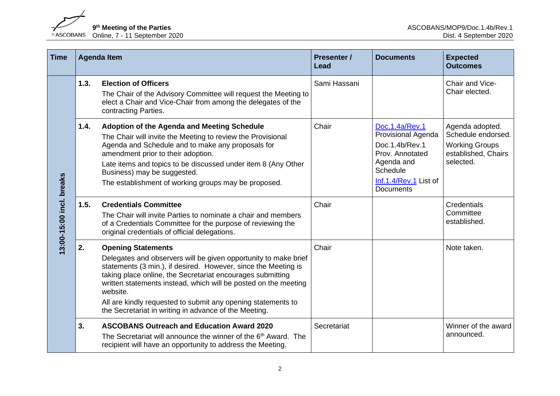9<sup>th</sup> Meeting of the Parties<br>
®ASCOBANS Online, 7 - 11 September 2020

| <b>Time</b>             | <b>Agenda Item</b> |                                                                                                                                                                                                                                                                                                                                                                                                                                      | <b>Presenter /</b><br>Lead | <b>Documents</b>                                                                                                                                 | <b>Expected</b><br><b>Outcomes</b>                                                                 |
|-------------------------|--------------------|--------------------------------------------------------------------------------------------------------------------------------------------------------------------------------------------------------------------------------------------------------------------------------------------------------------------------------------------------------------------------------------------------------------------------------------|----------------------------|--------------------------------------------------------------------------------------------------------------------------------------------------|----------------------------------------------------------------------------------------------------|
| 3:00-15:00 incl. breaks | 1.3.               | <b>Election of Officers</b><br>The Chair of the Advisory Committee will request the Meeting to<br>elect a Chair and Vice-Chair from among the delegates of the<br>contracting Parties.                                                                                                                                                                                                                                               | Sami Hassani               |                                                                                                                                                  | Chair and Vice-<br>Chair elected.                                                                  |
|                         | 1.4.               | Adoption of the Agenda and Meeting Schedule<br>The Chair will invite the Meeting to review the Provisional<br>Agenda and Schedule and to make any proposals for<br>amendment prior to their adoption.<br>Late items and topics to be discussed under item 8 (Any Other<br>Business) may be suggested.<br>The establishment of working groups may be proposed.                                                                        | Chair                      | Doc.1.4a/Rev.1<br>Provisional Agenda<br>Doc.1.4b/Rev.1<br>Prov. Annotated<br>Agenda and<br>Schedule<br>Inf.1.4/Rev.1 List of<br><b>Documents</b> | Agenda adopted.<br>Schedule endorsed.<br><b>Working Groups</b><br>established, Chairs<br>selected. |
|                         | 1.5.               | <b>Credentials Committee</b><br>The Chair will invite Parties to nominate a chair and members<br>of a Credentials Committee for the purpose of reviewing the<br>original credentials of official delegations.                                                                                                                                                                                                                        | Chair                      |                                                                                                                                                  | Credentials<br>Committee<br>established.                                                           |
|                         | 2.                 | <b>Opening Statements</b><br>Delegates and observers will be given opportunity to make brief<br>statements (3 min.), if desired. However, since the Meeting is<br>taking place online, the Secretariat encourages submitting<br>written statements instead, which will be posted on the meeting<br>website.<br>All are kindly requested to submit any opening statements to<br>the Secretariat in writing in advance of the Meeting. | Chair                      |                                                                                                                                                  | Note taken.                                                                                        |
|                         | 3.                 | <b>ASCOBANS Outreach and Education Award 2020</b><br>The Secretariat will announce the winner of the 6 <sup>th</sup> Award. The<br>recipient will have an opportunity to address the Meeting.                                                                                                                                                                                                                                        | Secretariat                |                                                                                                                                                  | Winner of the award<br>announced.                                                                  |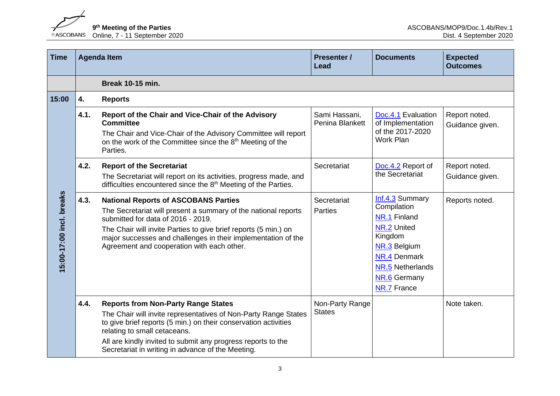9<sup>th</sup> Meeting of the Parties<br>
ASCOBANS Online, 7 - 11 September 2020

**th Meeting of the Parties** ASCOBANS/MOP9/Doc.1.4b/Rev.1 Online, 7 - 11 September 2020 Dist. 4 September 2020

| <b>Time</b>              | <b>Agenda Item</b> |                                                                                                                                                                                                                                                                                                                                       | <b>Presenter /</b><br>Lead       | <b>Documents</b>                                                                                                                                                   | <b>Expected</b><br><b>Outcomes</b> |
|--------------------------|--------------------|---------------------------------------------------------------------------------------------------------------------------------------------------------------------------------------------------------------------------------------------------------------------------------------------------------------------------------------|----------------------------------|--------------------------------------------------------------------------------------------------------------------------------------------------------------------|------------------------------------|
|                          |                    | <b>Break 10-15 min.</b>                                                                                                                                                                                                                                                                                                               |                                  |                                                                                                                                                                    |                                    |
| 15:00                    | 4.                 | <b>Reports</b>                                                                                                                                                                                                                                                                                                                        |                                  |                                                                                                                                                                    |                                    |
| 15:00-17:00 incl. breaks | 4.1.               | Report of the Chair and Vice-Chair of the Advisory<br><b>Committee</b><br>The Chair and Vice-Chair of the Advisory Committee will report<br>on the work of the Committee since the 8 <sup>th</sup> Meeting of the<br>Parties.                                                                                                         | Sami Hassani,<br>Penina Blankett | Doc.4.1 Evaluation<br>of Implementation<br>of the 2017-2020<br>Work Plan                                                                                           | Report noted.<br>Guidance given.   |
|                          | 4.2.               | <b>Report of the Secretariat</b><br>The Secretariat will report on its activities, progress made, and<br>difficulties encountered since the 8 <sup>th</sup> Meeting of the Parties.                                                                                                                                                   | Secretariat                      | Doc.4.2 Report of<br>the Secretariat                                                                                                                               | Report noted.<br>Guidance given.   |
|                          | 4.3.               | <b>National Reports of ASCOBANS Parties</b><br>The Secretariat will present a summary of the national reports<br>submitted for data of 2016 - 2019.<br>The Chair will invite Parties to give brief reports (5 min.) on<br>major successes and challenges in their implementation of the<br>Agreement and cooperation with each other. | Secretariat<br><b>Parties</b>    | Inf.4.3 Summary<br>Compilation<br>NR.1 Finland<br>NR.2 United<br>Kingdom<br>NR.3 Belgium<br>NR.4 Denmark<br>NR.5 Netherlands<br>NR.6 Germany<br><b>NR.7 France</b> | Reports noted.                     |
|                          | 4.4.               | <b>Reports from Non-Party Range States</b><br>The Chair will invite representatives of Non-Party Range States<br>to give brief reports (5 min.) on their conservation activities<br>relating to small cetaceans.<br>All are kindly invited to submit any progress reports to the<br>Secretariat in writing in advance of the Meeting. | Non-Party Range<br><b>States</b> |                                                                                                                                                                    | Note taken.                        |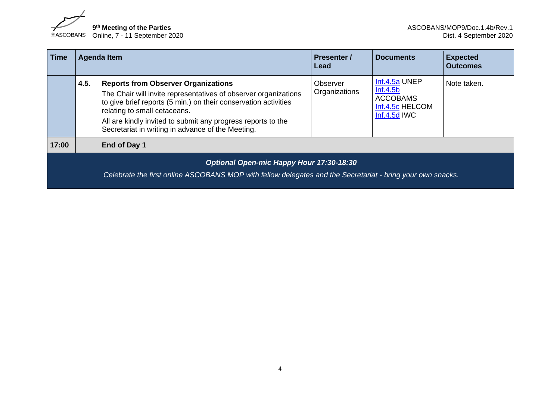

| <b>Time</b> |                                          | <b>Agenda Item</b>                                                                                                                                                                                                                                                                                                                    | <b>Presenter /</b><br>Lead | <b>Documents</b>                                                                  | <b>Expected</b><br><b>Outcomes</b> |  |  |
|-------------|------------------------------------------|---------------------------------------------------------------------------------------------------------------------------------------------------------------------------------------------------------------------------------------------------------------------------------------------------------------------------------------|----------------------------|-----------------------------------------------------------------------------------|------------------------------------|--|--|
|             | 4.5.                                     | <b>Reports from Observer Organizations</b><br>The Chair will invite representatives of observer organizations<br>to give brief reports (5 min.) on their conservation activities<br>relating to small cetaceans.<br>All are kindly invited to submit any progress reports to the<br>Secretariat in writing in advance of the Meeting. | Observer<br>Organizations  | Inf.4.5a UNEP<br>Inf.4.5b<br><b>ACCOBAMS</b><br>Inf.4.5c HELCOM<br>$Inf.4.5d$ IWC | Note taken.                        |  |  |
| 17:00       |                                          | End of Day 1                                                                                                                                                                                                                                                                                                                          |                            |                                                                                   |                                    |  |  |
|             | Optional Open-mic Happy Hour 17:30-18:30 |                                                                                                                                                                                                                                                                                                                                       |                            |                                                                                   |                                    |  |  |
|             |                                          | Celebrate the first online ASCOBANS MOP with fellow delegates and the Secretariat - bring your own snacks.                                                                                                                                                                                                                            |                            |                                                                                   |                                    |  |  |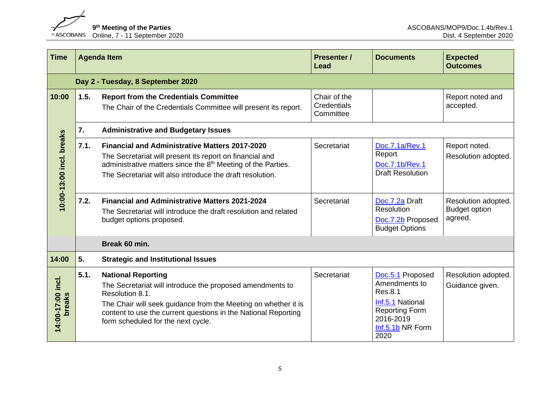9<sup>th</sup> Meeting of the Parties<br> **2020** ASCOBANS Online, 7 - 11 September 2020

| <b>Time</b>                 |      | <b>Agenda Item</b>                                                                                                                                                                                                                                                                  | <b>Presenter /</b><br>Lead               | <b>Documents</b>                                                                                                                   | <b>Expected</b><br><b>Outcomes</b>                     |
|-----------------------------|------|-------------------------------------------------------------------------------------------------------------------------------------------------------------------------------------------------------------------------------------------------------------------------------------|------------------------------------------|------------------------------------------------------------------------------------------------------------------------------------|--------------------------------------------------------|
|                             |      | Day 2 - Tuesday, 8 September 2020                                                                                                                                                                                                                                                   |                                          |                                                                                                                                    |                                                        |
| 10:00                       | 1.5. | <b>Report from the Credentials Committee</b><br>The Chair of the Credentials Committee will present its report.                                                                                                                                                                     | Chair of the<br>Credentials<br>Committee |                                                                                                                                    | Report noted and<br>accepted.                          |
|                             | 7.   | <b>Administrative and Budgetary Issues</b>                                                                                                                                                                                                                                          |                                          |                                                                                                                                    |                                                        |
| 10:00-13:00 incl. breaks    | 7.1. | <b>Financial and Administrative Matters 2017-2020</b><br>The Secretariat will present its report on financial and<br>administrative matters since the 8 <sup>th</sup> Meeting of the Parties.<br>The Secretariat will also introduce the draft resolution.                          | Secretariat                              | Doc.7.1a/Rev.1<br>Report<br>Doc.7.1b/Rev.1<br><b>Draft Resolution</b>                                                              | Report noted.<br>Resolution adopted.                   |
|                             | 7.2. | <b>Financial and Administrative Matters 2021-2024</b><br>The Secretariat will introduce the draft resolution and related<br>budget options proposed.                                                                                                                                | Secretariat                              | Doc.7.2a Draft<br>Resolution<br>Doc.7.2b Proposed<br><b>Budget Options</b>                                                         | Resolution adopted.<br><b>Budget option</b><br>agreed. |
|                             |      | Break 60 min.                                                                                                                                                                                                                                                                       |                                          |                                                                                                                                    |                                                        |
| 14:00                       | 5.   | <b>Strategic and Institutional Issues</b>                                                                                                                                                                                                                                           |                                          |                                                                                                                                    |                                                        |
| 14:00-17:00 incl.<br>breaks | 5.1. | <b>National Reporting</b><br>The Secretariat will introduce the proposed amendments to<br>Resolution 8.1.<br>The Chair will seek guidance from the Meeting on whether it is<br>content to use the current questions in the National Reporting<br>form scheduled for the next cycle. | Secretariat                              | Doc.5.1 Proposed<br>Amendments to<br>Res.8.1<br>Inf.5.1 National<br><b>Reporting Form</b><br>2016-2019<br>Inf.5.1b NR Form<br>2020 | Resolution adopted.<br>Guidance given.                 |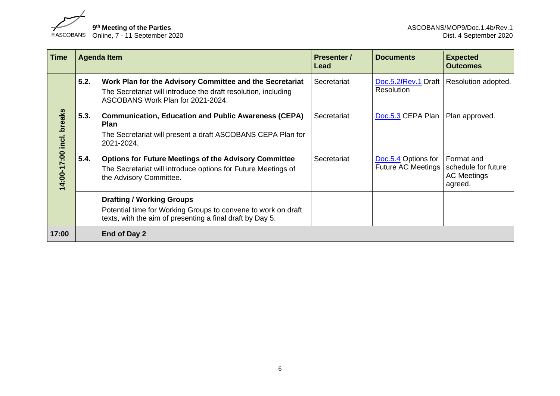9<sup>th</sup> Meeting of the Parties<br>
8ASCOBANS Online, 7 - 11 September 2020

| <b>Time</b>                    |      | <b>Agenda Item</b>                                                                                                                                              | <b>Presenter /</b><br>Lead | <b>Documents</b>                                 | <b>Expected</b><br><b>Outcomes</b>                                 |
|--------------------------------|------|-----------------------------------------------------------------------------------------------------------------------------------------------------------------|----------------------------|--------------------------------------------------|--------------------------------------------------------------------|
| breaks<br>incl.<br>14:00-17:00 | 5.2. | Work Plan for the Advisory Committee and the Secretariat<br>The Secretariat will introduce the draft resolution, including<br>ASCOBANS Work Plan for 2021-2024. | Secretariat                | Doc.5.2/Rev.1 Draft<br>Resolution                | Resolution adopted.                                                |
|                                | 5.3. | <b>Communication, Education and Public Awareness (CEPA)</b><br><b>Plan</b><br>The Secretariat will present a draft ASCOBANS CEPA Plan for<br>2021-2024.         | Secretariat                | Doc.5.3 CEPA Plan                                | Plan approved.                                                     |
|                                | 5.4. | <b>Options for Future Meetings of the Advisory Committee</b><br>The Secretariat will introduce options for Future Meetings of<br>the Advisory Committee.        | Secretariat                | Doc.5.4 Options for<br><b>Future AC Meetings</b> | Format and<br>schedule for future<br><b>AC Meetings</b><br>agreed. |
|                                |      | <b>Drafting / Working Groups</b><br>Potential time for Working Groups to convene to work on draft<br>texts, with the aim of presenting a final draft by Day 5.  |                            |                                                  |                                                                    |
| 17:00                          |      | End of Day 2                                                                                                                                                    |                            |                                                  |                                                                    |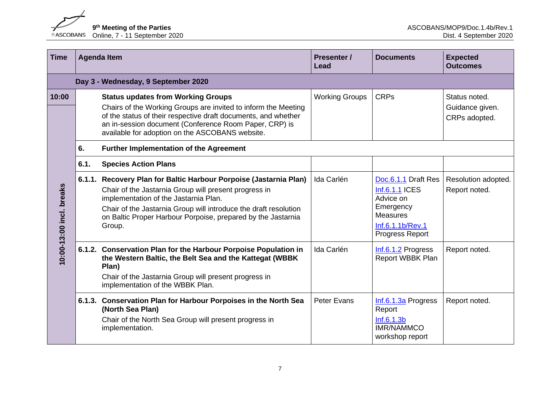9<sup>th</sup> Meeting of the Parties<br> **2020** ASCOBANS Online, 7 - 11 September 2020

| <b>Time</b>              |      | <b>Agenda Item</b>                                                                                                                                                                                                                                                                                                | <b>Presenter /</b><br><b>Lead</b> | <b>Documents</b>                                                                                                          | <b>Expected</b><br><b>Outcomes</b>                |
|--------------------------|------|-------------------------------------------------------------------------------------------------------------------------------------------------------------------------------------------------------------------------------------------------------------------------------------------------------------------|-----------------------------------|---------------------------------------------------------------------------------------------------------------------------|---------------------------------------------------|
|                          |      | Day 3 - Wednesday, 9 September 2020                                                                                                                                                                                                                                                                               |                                   |                                                                                                                           |                                                   |
| 10:00                    |      | <b>Status updates from Working Groups</b><br>Chairs of the Working Groups are invited to inform the Meeting<br>of the status of their respective draft documents, and whether<br>an in-session document (Conference Room Paper, CRP) is<br>available for adoption on the ASCOBANS website.                        | <b>Working Groups</b>             | <b>CRPs</b>                                                                                                               | Status noted.<br>Guidance given.<br>CRPs adopted. |
|                          | 6.   | <b>Further Implementation of the Agreement</b>                                                                                                                                                                                                                                                                    |                                   |                                                                                                                           |                                                   |
|                          | 6.1. | <b>Species Action Plans</b>                                                                                                                                                                                                                                                                                       |                                   |                                                                                                                           |                                                   |
| 10:00-13:00 incl. breaks |      | 6.1.1. Recovery Plan for Baltic Harbour Porpoise (Jastarnia Plan)<br>Chair of the Jastarnia Group will present progress in<br>implementation of the Jastarnia Plan.<br>Chair of the Jastarnia Group will introduce the draft resolution<br>on Baltic Proper Harbour Porpoise, prepared by the Jastarnia<br>Group. | Ida Carlén                        | Doc.6.1.1 Draft Res<br>Inf.6.1.1 ICES<br>Advice on<br>Emergency<br><b>Measures</b><br>Inf.6.1.1b/Rev.1<br>Progress Report | Resolution adopted.<br>Report noted.              |
|                          |      | 6.1.2. Conservation Plan for the Harbour Porpoise Population in<br>the Western Baltic, the Belt Sea and the Kattegat (WBBK)<br>Plan)<br>Chair of the Jastarnia Group will present progress in<br>implementation of the WBBK Plan.                                                                                 | Ida Carlén                        | Inf.6.1.2 Progress<br><b>Report WBBK Plan</b>                                                                             | Report noted.                                     |
|                          |      | 6.1.3. Conservation Plan for Harbour Porpoises in the North Sea<br>(North Sea Plan)<br>Chair of the North Sea Group will present progress in<br>implementation.                                                                                                                                                   | Peter Evans                       | Inf.6.1.3a Progress<br>Report<br>Inf.6.1.3b<br><b>IMR/NAMMCO</b><br>workshop report                                       | Report noted.                                     |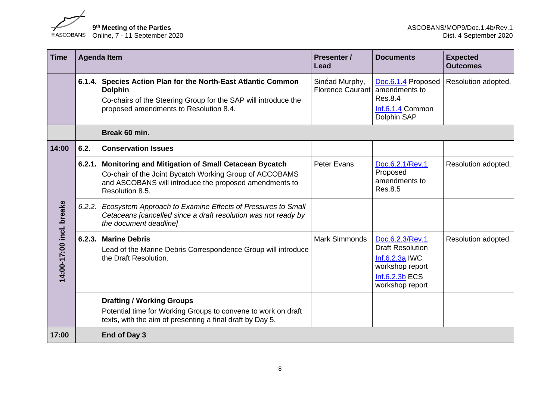

| <b>Time</b>              |      | <b>Agenda Item</b>                                                                                                                                                                                 | <b>Presenter /</b><br>Lead                | <b>Documents</b>                                                                                                       | <b>Expected</b><br><b>Outcomes</b> |
|--------------------------|------|----------------------------------------------------------------------------------------------------------------------------------------------------------------------------------------------------|-------------------------------------------|------------------------------------------------------------------------------------------------------------------------|------------------------------------|
|                          |      | 6.1.4. Species Action Plan for the North-East Atlantic Common<br><b>Dolphin</b><br>Co-chairs of the Steering Group for the SAP will introduce the<br>proposed amendments to Resolution 8.4.        | Sinéad Murphy,<br><b>Florence Caurant</b> | Doc.6.1.4 Proposed<br>amendments to<br><b>Res.8.4</b><br>Inf.6.1.4 Common<br>Dolphin SAP                               | Resolution adopted.                |
|                          |      | Break 60 min.                                                                                                                                                                                      |                                           |                                                                                                                        |                                    |
| 14:00                    | 6.2. | <b>Conservation Issues</b>                                                                                                                                                                         |                                           |                                                                                                                        |                                    |
|                          |      | 6.2.1. Monitoring and Mitigation of Small Cetacean Bycatch<br>Co-chair of the Joint Bycatch Working Group of ACCOBAMS<br>and ASCOBANS will introduce the proposed amendments to<br>Resolution 8.5. | <b>Peter Evans</b>                        | Doc.6.2.1/Rev.1<br>Proposed<br>amendments to<br>Res.8.5                                                                | Resolution adopted.                |
|                          |      | 6.2.2. Ecosystem Approach to Examine Effects of Pressures to Small<br>Cetaceans [cancelled since a draft resolution was not ready by<br>the document deadline]                                     |                                           |                                                                                                                        |                                    |
| 14:00-17:00 incl. breaks |      | 6.2.3. Marine Debris<br>Lead of the Marine Debris Correspondence Group will introduce<br>the Draft Resolution.                                                                                     | <b>Mark Simmonds</b>                      | Doc.6.2.3/Rev.1<br><b>Draft Resolution</b><br>$Inf.6.2.3a$ IWC<br>workshop report<br>Inf.6.2.3b ECS<br>workshop report | Resolution adopted.                |
|                          |      | <b>Drafting / Working Groups</b><br>Potential time for Working Groups to convene to work on draft<br>texts, with the aim of presenting a final draft by Day 5.                                     |                                           |                                                                                                                        |                                    |
| 17:00                    |      | End of Day 3                                                                                                                                                                                       |                                           |                                                                                                                        |                                    |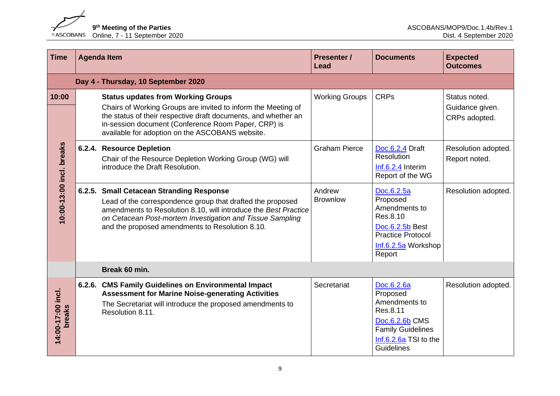9<sup>th</sup> Meeting of the Parties<br> **9th Meeting of the Parties**<br> **9th Meeting of the Parties** 

| <b>Time</b>                       | <b>Agenda Item</b>                                                                                                                                                                                                                                                                        | <b>Presenter /</b><br><b>Lead</b> | <b>Documents</b>                                                                                                                         | <b>Expected</b><br><b>Outcomes</b>                |
|-----------------------------------|-------------------------------------------------------------------------------------------------------------------------------------------------------------------------------------------------------------------------------------------------------------------------------------------|-----------------------------------|------------------------------------------------------------------------------------------------------------------------------------------|---------------------------------------------------|
|                                   | Day 4 - Thursday, 10 September 2020                                                                                                                                                                                                                                                       |                                   |                                                                                                                                          |                                                   |
| 10:00<br>10:00-13:00 incl. breaks | <b>Status updates from Working Groups</b><br>Chairs of Working Groups are invited to inform the Meeting of<br>the status of their respective draft documents, and whether an<br>in-session document (Conference Room Paper, CRP) is<br>available for adoption on the ASCOBANS website.    | <b>Working Groups</b>             | <b>CRPs</b>                                                                                                                              | Status noted.<br>Guidance given.<br>CRPs adopted. |
|                                   | 6.2.4. Resource Depletion<br>Chair of the Resource Depletion Working Group (WG) will<br>introduce the Draft Resolution.                                                                                                                                                                   | <b>Graham Pierce</b>              | Doc.6.2.4 Draft<br>Resolution<br>$Inf.6.2.4$ Interim<br>Report of the WG                                                                 | Resolution adopted.<br>Report noted.              |
|                                   | 6.2.5. Small Cetacean Stranding Response<br>Lead of the correspondence group that drafted the proposed<br>amendments to Resolution 8.10, will introduce the Best Practice<br>on Cetacean Post-mortem Investigation and Tissue Sampling<br>and the proposed amendments to Resolution 8.10. | Andrew<br><b>Brownlow</b>         | Doc.6.2.5a<br>Proposed<br>Amendments to<br>Res.8.10<br>Doc.6.2.5b Best<br><b>Practice Protocol</b><br>Inf.6.2.5a Workshop<br>Report      | Resolution adopted.                               |
|                                   | Break 60 min.                                                                                                                                                                                                                                                                             |                                   |                                                                                                                                          |                                                   |
| 14:00-17:00 incl.<br>breaks       | 6.2.6. CMS Family Guidelines on Environmental Impact<br><b>Assessment for Marine Noise-generating Activities</b><br>The Secretariat will introduce the proposed amendments to<br>Resolution 8.11.                                                                                         | Secretariat                       | Doc.6.2.6a<br>Proposed<br>Amendments to<br>Res.8.11<br>Doc.6.2.6b CMS<br><b>Family Guidelines</b><br>Inf.6.2.6a TSI to the<br>Guidelines | Resolution adopted.                               |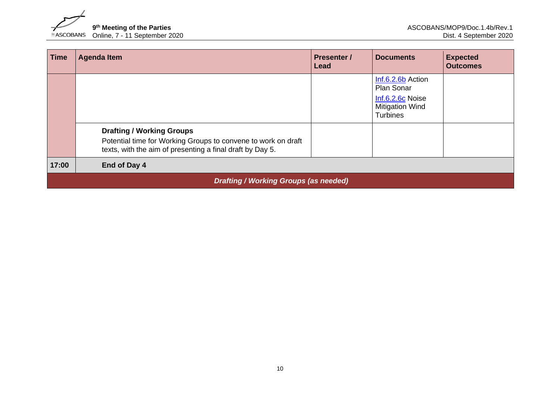

| <b>Time</b>                                  | <b>Agenda Item</b>                                                                                                                                             | <b>Presenter</b> /<br>Lead | <b>Documents</b>                                                                                 | <b>Expected</b><br><b>Outcomes</b> |  |  |
|----------------------------------------------|----------------------------------------------------------------------------------------------------------------------------------------------------------------|----------------------------|--------------------------------------------------------------------------------------------------|------------------------------------|--|--|
|                                              |                                                                                                                                                                |                            | Inf.6.2.6b Action<br>Plan Sonar<br>Inf.6.2.6c Noise<br><b>Mitigation Wind</b><br><b>Turbines</b> |                                    |  |  |
|                                              | <b>Drafting / Working Groups</b><br>Potential time for Working Groups to convene to work on draft<br>texts, with the aim of presenting a final draft by Day 5. |                            |                                                                                                  |                                    |  |  |
| 17:00                                        | End of Day 4                                                                                                                                                   |                            |                                                                                                  |                                    |  |  |
| <b>Drafting / Working Groups (as needed)</b> |                                                                                                                                                                |                            |                                                                                                  |                                    |  |  |